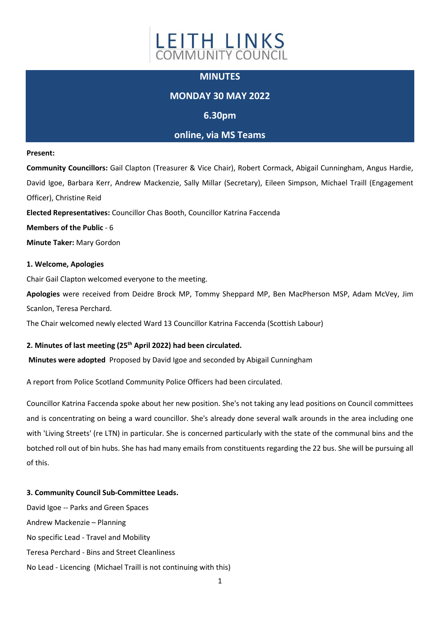

## **MINUTES**

# **MONDAY 30 MAY 2022**

## **6.30pm**

## **online, via MS Teams**

#### **Present:**

**Community Councillors:** Gail Clapton (Treasurer & Vice Chair), Robert Cormack, Abigail Cunningham, Angus Hardie, David Igoe, Barbara Kerr, Andrew Mackenzie, Sally Millar (Secretary), Eileen Simpson, Michael Traill (Engagement Officer), Christine Reid

**Elected Representatives:** Councillor Chas Booth, Councillor Katrina Faccenda

**Members of the Public** - 6

**Minute Taker:** Mary Gordon

## **1. Welcome, Apologies**

Chair Gail Clapton welcomed everyone to the meeting.

**Apologies** were received from Deidre Brock MP, Tommy Sheppard MP, Ben MacPherson MSP, Adam McVey, Jim Scanlon, Teresa Perchard.

The Chair welcomed newly elected Ward 13 Councillor Katrina Faccenda (Scottish Labour)

### **2. Minutes of last meeting (25th April 2022) had been circulated.**

**Minutes were adopted** Proposed by David Igoe and seconded by Abigail Cunningham

A report from Police Scotland Community Police Officers had been circulated.

Councillor Katrina Faccenda spoke about her new position. She's not taking any lead positions on Council committees and is concentrating on being a ward councillor. She's already done several walk arounds in the area including one with 'Living Streets' (re LTN) in particular. She is concerned particularly with the state of the communal bins and the botched roll out of bin hubs. She has had many emails from constituents regarding the 22 bus. She will be pursuing all of this.

### **3. Community Council Sub-Committee Leads.**

David Igoe -- Parks and Green Spaces Andrew Mackenzie – Planning No specific Lead - Travel and Mobility Teresa Perchard - Bins and Street Cleanliness No Lead - Licencing (Michael Traill is not continuing with this)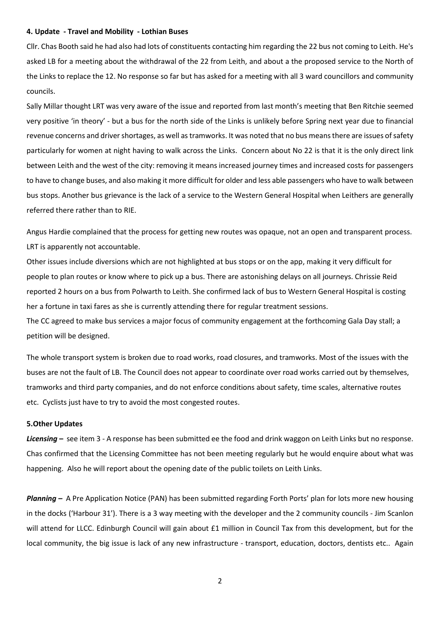#### **4. Update - Travel and Mobility - Lothian Buses**

Cllr. Chas Booth said he had also had lots of constituents contacting him regarding the 22 bus not coming to Leith. He's asked LB for a meeting about the withdrawal of the 22 from Leith, and about a the proposed service to the North of the Links to replace the 12. No response so far but has asked for a meeting with all 3 ward councillors and community councils.

Sally Millar thought LRT was very aware of the issue and reported from last month's meeting that Ben Ritchie seemed very positive 'in theory' - but a bus for the north side of the Links is unlikely before Spring next year due to financial revenue concerns and driver shortages, as well as tramworks. It was noted that no bus means there are issues of safety particularly for women at night having to walk across the Links. Concern about No 22 is that it is the only direct link between Leith and the west of the city: removing it means increased journey times and increased costs for passengers to have to change buses, and also making it more difficult for older and less able passengers who have to walk between bus stops. Another bus grievance is the lack of a service to the Western General Hospital when Leithers are generally referred there rather than to RIE.

Angus Hardie complained that the process for getting new routes was opaque, not an open and transparent process. LRT is apparently not accountable.

Other issues include diversions which are not highlighted at bus stops or on the app, making it very difficult for people to plan routes or know where to pick up a bus. There are astonishing delays on all journeys. Chrissie Reid reported 2 hours on a bus from Polwarth to Leith. She confirmed lack of bus to Western General Hospital is costing her a fortune in taxi fares as she is currently attending there for regular treatment sessions.

The CC agreed to make bus services a major focus of community engagement at the forthcoming Gala Day stall; a petition will be designed.

The whole transport system is broken due to road works, road closures, and tramworks. Most of the issues with the buses are not the fault of LB. The Council does not appear to coordinate over road works carried out by themselves, tramworks and third party companies, and do not enforce conditions about safety, time scales, alternative routes etc. Cyclists just have to try to avoid the most congested routes.

### **5.Other Updates**

*Licensing* **–** see item 3 - A response has been submitted ee the food and drink waggon on Leith Links but no response. Chas confirmed that the Licensing Committee has not been meeting regularly but he would enquire about what was happening. Also he will report about the opening date of the public toilets on Leith Links.

*Planning –* A Pre Application Notice (PAN) has been submitted regarding Forth Ports' plan for lots more new housing in the docks ('Harbour 31'). There is a 3 way meeting with the developer and the 2 community councils - Jim Scanlon will attend for LLCC. Edinburgh Council will gain about £1 million in Council Tax from this development, but for the local community, the big issue is lack of any new infrastructure - transport, education, doctors, dentists etc.. Again

2